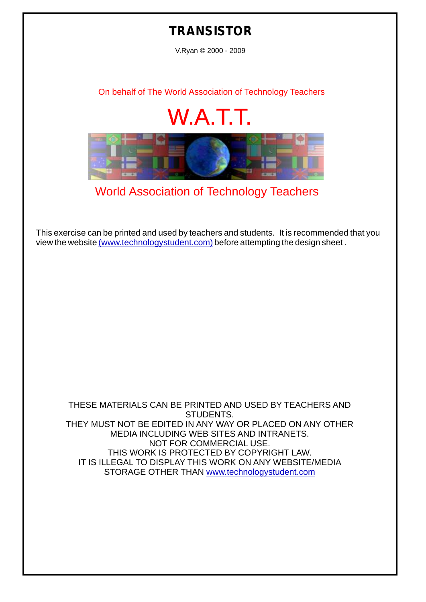## **TRANSISTOR**

V.Ryan © 2000 - 2009

[On behalf of The World Association of Technology Teachers](http://www.technologystudent.com)

## W.A.T.T.



[World Association of Technology Teachers](http://www.technologystudent.com)

[This exercise can be printed and used by teachers and students. It is recommended that you](http://www.technologystudent.com/designpro/drawdex.htm) view the website [\(www.technologystudent.com\)](http://www.technologystudent.com) before attempting the design sheet .

THESE MATERIALS CAN BE PRINTED AND USED BY TEACHERS AND STUDENTS. THEY MUST NOT BE EDITED IN ANY WAY OR PLACED ON ANY OTHER MEDIA INCLUDING WEB SITES AND INTRANETS. NOT FOR COMMERCIAL USE. THIS WORK IS PROTECTED BY COPYRIGHT LAW. IT IS ILLEGAL TO DISPLAY THIS WORK ON ANY WEBSITE/MEDIA STORAGE OTHER THAN [www.technologystudent.com](http://www.technologystudent.com)